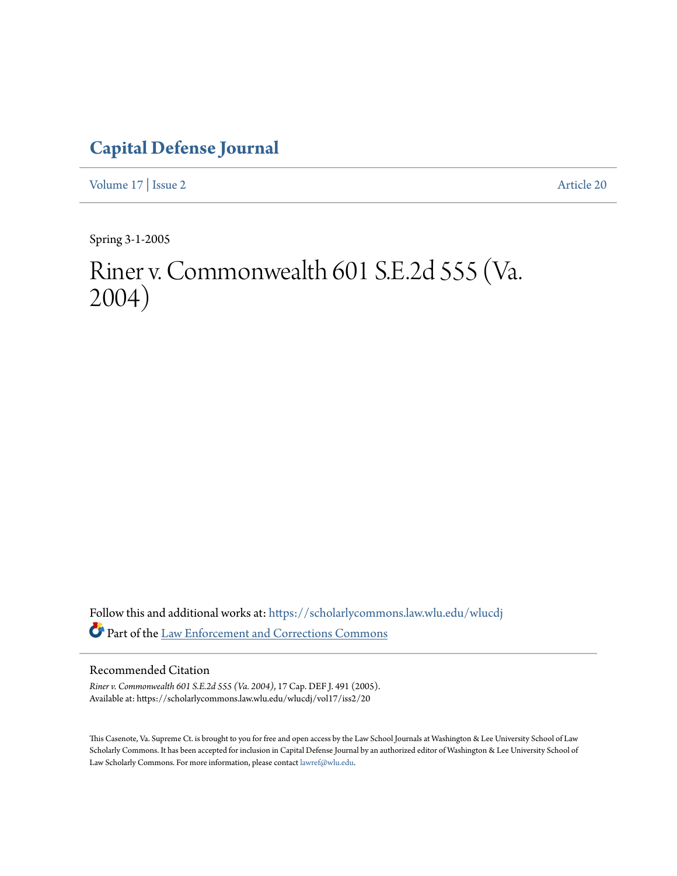# **[Capital Defense Journal](https://scholarlycommons.law.wlu.edu/wlucdj?utm_source=scholarlycommons.law.wlu.edu%2Fwlucdj%2Fvol17%2Fiss2%2F20&utm_medium=PDF&utm_campaign=PDFCoverPages)**

[Volume 17](https://scholarlycommons.law.wlu.edu/wlucdj/vol17?utm_source=scholarlycommons.law.wlu.edu%2Fwlucdj%2Fvol17%2Fiss2%2F20&utm_medium=PDF&utm_campaign=PDFCoverPages) | [Issue 2](https://scholarlycommons.law.wlu.edu/wlucdj/vol17/iss2?utm_source=scholarlycommons.law.wlu.edu%2Fwlucdj%2Fvol17%2Fiss2%2F20&utm_medium=PDF&utm_campaign=PDFCoverPages) [Article 20](https://scholarlycommons.law.wlu.edu/wlucdj/vol17/iss2/20?utm_source=scholarlycommons.law.wlu.edu%2Fwlucdj%2Fvol17%2Fiss2%2F20&utm_medium=PDF&utm_campaign=PDFCoverPages)

Spring 3-1-2005

# Riner v. Commonwealth 601 S.E.2d 555 (Va. 2004)

Follow this and additional works at: [https://scholarlycommons.law.wlu.edu/wlucdj](https://scholarlycommons.law.wlu.edu/wlucdj?utm_source=scholarlycommons.law.wlu.edu%2Fwlucdj%2Fvol17%2Fiss2%2F20&utm_medium=PDF&utm_campaign=PDFCoverPages) Part of the [Law Enforcement and Corrections Commons](http://network.bepress.com/hgg/discipline/854?utm_source=scholarlycommons.law.wlu.edu%2Fwlucdj%2Fvol17%2Fiss2%2F20&utm_medium=PDF&utm_campaign=PDFCoverPages)

## Recommended Citation

*Riner v. Commonwealth 601 S.E.2d 555 (Va. 2004)*, 17 Cap. DEF J. 491 (2005). Available at: https://scholarlycommons.law.wlu.edu/wlucdj/vol17/iss2/20

This Casenote, Va. Supreme Ct. is brought to you for free and open access by the Law School Journals at Washington & Lee University School of Law Scholarly Commons. It has been accepted for inclusion in Capital Defense Journal by an authorized editor of Washington & Lee University School of Law Scholarly Commons. For more information, please contact [lawref@wlu.edu.](mailto:lawref@wlu.edu)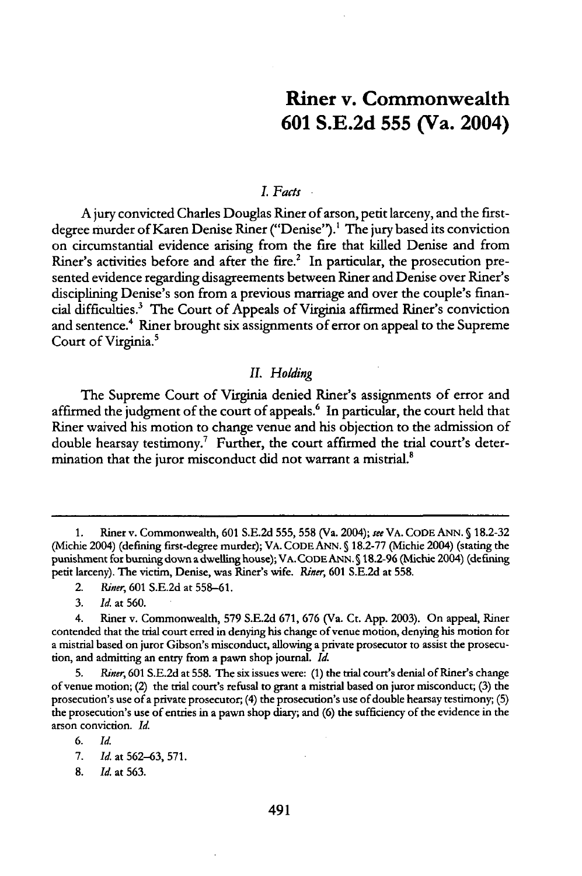# Riner v. Commonwealth **601 S.E.2d 555** (Va. 2004)

#### *I. Facts*

A jury convicted Charles Douglas Riner of arson, petit larceny, and the firstdegree murder of Karen Denise Riner ("Denise").' The jury based its conviction on circumstantial evidence arising from the fire that killed Denise and from Riner's activities before and after the fire. $2$  In particular, the prosecution presented evidence regarding disagreements between Riner and Denise over Riner's disciplining Denise's son from a previous marriage and over the couple's financial difficulties.3 The Court of Appeals of Virginia affirmed Riner's conviction and sentence.<sup>4</sup> Riner brought six assignments of error on appeal to the Supreme Court of Virginia.<sup>5</sup>

#### *IL Holding*

The Supreme Court of Virginia denied Riner's assignments of error and affirmed the judgment of the court of appeals.<sup>6</sup> In particular, the court held that Riner waived his motion to change venue and his objection to the admission of double hearsay testimony.<sup>7</sup> Further, the court affirmed the trial court's determination that the juror misconduct did not warrant a mistrial.<sup>8</sup>

<sup>1.</sup> Riner v. Commonwealth, 601 S.E.2d **555, 558** (Va. 2004); *see* VA. CODE ANN. **§** 18.2-32 (Michie 2004) (defining first-degree murder); VA. CODE ANN. **§ 18.2-77** (Michie 2004) (stating the punishment for burning down a dwelling house); VA. CODE ANN. **S** 18.2-96 (Michie 2004) (defining petit larceny). The victim, Denise, was Riner's wife. *Riner,* **601** S.E.2d at **558.**

<sup>2.</sup> *Riner,* 601 S.E.2d at **558-61.**

**<sup>3.</sup>** *Id.* at 560.

<sup>4.</sup> Riner v. Commonwealth, **579** S.E.2d 671, 676 (Va. Ct. App. 2003). On appeal, Riner contended that the trial court erred in denying his change of venue motion, denying his motion for a mistrial based on juror Gibson's misconduct, allowing a private prosecutor to assist the prosecution, and admitting an entry from a pawn shop journal. *Id.*

**<sup>5.</sup>** *Riner,* 601 S.E.2d at **558.** The six issues were: (1) the trial court's denial of Riner's change of venue motion; (2) the trial court's refusal to grant a mistrial based on juror misconduct; **(3)** the prosecution's use of a private prosecutor; (4) the prosecution's use of double hearsay testimony; **(5)** the prosecution's use of entries in a pawn shop diary; and (6) the sufficiency of the evidence in the arson conviction. *Id.*

<sup>6.</sup> *Id.*

<sup>7.</sup> *Id.* at **562-63, 571.**

<sup>8.</sup> *Id.* at 563.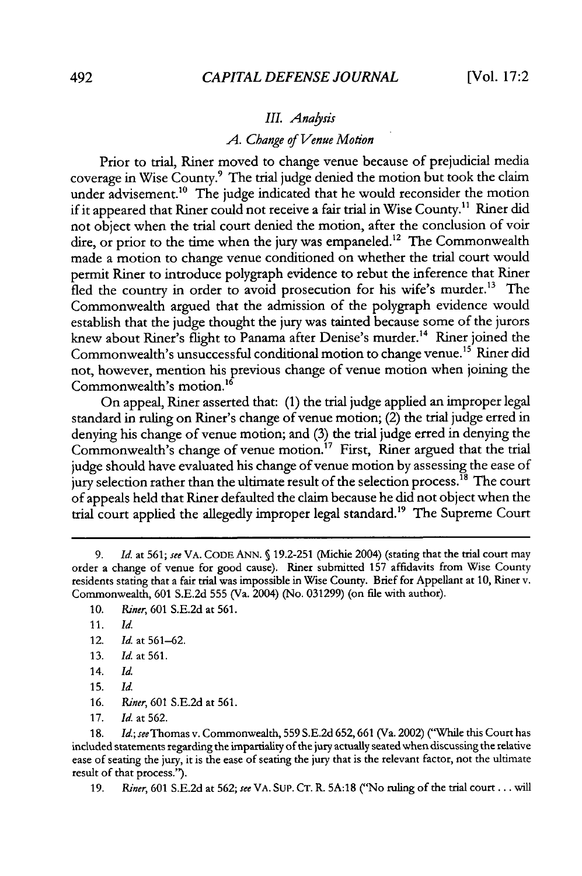#### *II. Anaysis*

#### *A.* Change *of Venue Motion*

Prior to trial, Riner moved to change venue because of prejudicial media coverage in Wise County.9 The trial judge denied the motion but took the claim under advisement.<sup>10</sup> The judge indicated that he would reconsider the motion if it appeared that Riner could not receive a fair trial in Wise County.<sup>11</sup> Riner did not object when the trial court denied the motion, after the conclusion of voir dire, or prior to the time when the jury was empaneled.<sup>12</sup> The Commonwealth made a motion to change venue conditioned on whether the trial court would permit Riner to introduce polygraph evidence to rebut the inference that Riner fled the country in order to avoid prosecution for his wife's murder.<sup>13</sup> The Commonwealth argued that the admission of the polygraph evidence would establish that the judge thought the jury was tainted because some of the jurors knew about Riner's flight to Panama after Denise's murder.<sup>14</sup> Riner joined the Commonwealth's unsuccessful conditional motion to change venue.<sup>15</sup> Riner did not, however, mention his previous change of venue motion when joining the Commonwealth's motion.<sup>16</sup>

On appeal, Riner asserted that: **(1)** the trial judge applied an improper legal standard in ruling on Riner's change of venue motion; (2) the trial judge erred in denying his change of venue motion; and (3) the trial judge erred in denying the Commonwealth's change of venue motion.<sup>17</sup> First, Riner argued that the trial judge should have evaluated his change of venue motion by assessing the ease of jury selection rather than the ultimate result of the selection process.<sup>18</sup> The court of appeals held that Riner defaulted the claim because he did not object when the trial court applied the allegedly improper legal standard.<sup>19</sup> The Supreme Court

- 12. *Id.* at 561-62.
- 13. *Id.* at **561.**
- 14. *Id.*
- 15. *Id.*
- 16. Riner, 601 S.E.2d at 561.

18. *Id.;* seeThomas v. Commonwealth, 559 S.E.2d 652,661 (Va. 2002) ("While this Court has included statements regarding the impartiality of the jury actually seated when discussing the relative ease of seating the jury, it is the ease of seating the jury that is the relevant factor, not the ultimate result of that process.").

19. Riner, 601 S.E.2d at 562; *see* VA. SUP. CT. R. 5A:1 8 ("No ruling of the trial court **...** will

*<sup>9.</sup> Id.* at 561; see VA. CODE ANN. **§** 19.2-251 (Michie 2004) (stating that the trial court may order a change of venue for good cause). Riner submitted 157 affidavits from Wise County residents stating that a fair trial was impossible in Wise County. Brief for Appellant at **10,** Riner v. Commonwealth, 601 S.E.2d 555 (Va. 2004) (No. 031299) (on file with author).

<sup>10.</sup> *Riner,* 601 S.E.2d at 561.

<sup>11.</sup> *Id.*

<sup>17.</sup> *Id.* at 562.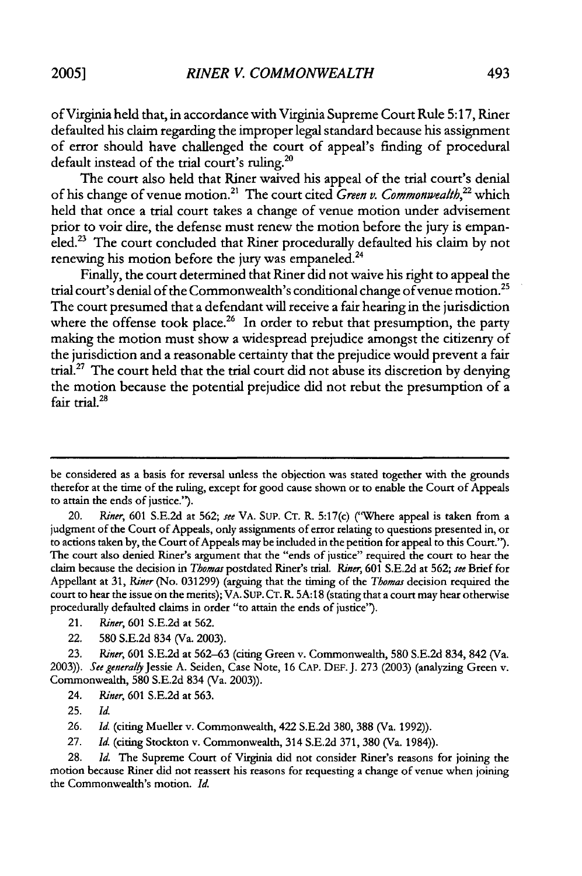of Virginia held that, in accordance with Virginia Supreme Court Rule 5:17, Riner defaulted his claim regarding the improper legal standard because his assignment of error should have challenged the court of appeal's finding of procedural default instead of the trial court's ruling.<sup>2</sup>

The court also held that Riner waived his appeal of the trial court's denial of his change of venue motion.2' The court cited *Green v. Commonwealh,22* which held that once a trial court takes a change of venue motion under advisement prior to voir dire, the defense must renew the motion before the jury is empaneled.<sup>23</sup> The court concluded that Riner procedurally defaulted his claim by not renewing his motion before the jury was empaneled.<sup>24</sup>

Finally, the court determined that Riner did not waive his right to appeal the trial court's denial of the Commonwealth's conditional change of venue motion.<sup>25</sup> The court presumed that a defendant will receive a fair hearing in the jurisdiction where the offense took place.<sup>26</sup> In order to rebut that presumption, the party making the motion must show a widespread prejudice amongst the citizenry of the jurisdiction and a reasonable certainty that the prejudice would prevent a fair trial.<sup>27</sup> The court held that the trial court did not abuse its discretion by denying the motion because the potential prejudice did not rebut the presumption of a fair trial.<sup>28</sup>

be considered as a basis for reversal unless the objection was stated together with the grounds therefor at the time of the ruling, except for good cause shown or to enable the Court of Appeals to attain the ends of justice.").

<sup>20.</sup> *Riner,* **601** S.E.2d at 562; *see* VA. SUP. **CT.** R. 5:17(c) ("Where appeal is taken from a judgment of the Court of Appeals, only assignments of error relating to questions presented in, or to actions taken by, the Court of Appeals may be included in the petition for appeal to this Court.'). The court also denied Riner's argument that the "ends of justice" required the court to hear the claim because the decision in *Thomas* postdated Riner's trial. *Riner,* **601** S.E.2d at 562; *see* Brief for Appellant at **31,** *Riner* (No. 031299) (arguing that the timing of the *Thomas* decision required the court to hear the issue on the merits); VA. SUP. CT. R- 5A:1 8 (stating that a court may hear otherwise procedurally defaulted claims in order "to attain the ends of justice").

<sup>21.</sup> *Riner,* 601 S.E.2d at 562.

<sup>22.</sup> **580** S.E.2d 834 (Va. 2003).

<sup>23.</sup> *Riner,* **601** S.E.2d at 562-63 (citing Green v. Commonwealth, 580 S.E.2d 834, 842 (Va. 2003)). *See generally* Jessie A. Seiden, Case Note, **16** CAP. DEF. J. 273 (2003) (analyzing Green v. Commonwealth, 580 S.E.2d 834 (Va. 2003)).

<sup>24.</sup> *Riner,* 601 S.E.2d at 563.

<sup>25.</sup> *Id.*

<sup>26.</sup> *Id.* (citing Mueller v. Commonwealth, 422 S.E.2d 380, 388 (Va. 1992)).

<sup>27.</sup> *Id.* (citing Stockton v. Commonwealth, 314 S.E.2d 371, **380** (Va. 1984)).

<sup>28.</sup> *Id.* The Supreme Court of Virginia did not consider Riner's reasons for joining the motion because Riner did not reassert his reasons for requesting a change of venue when joining the Commonwealth's motion. *Id.*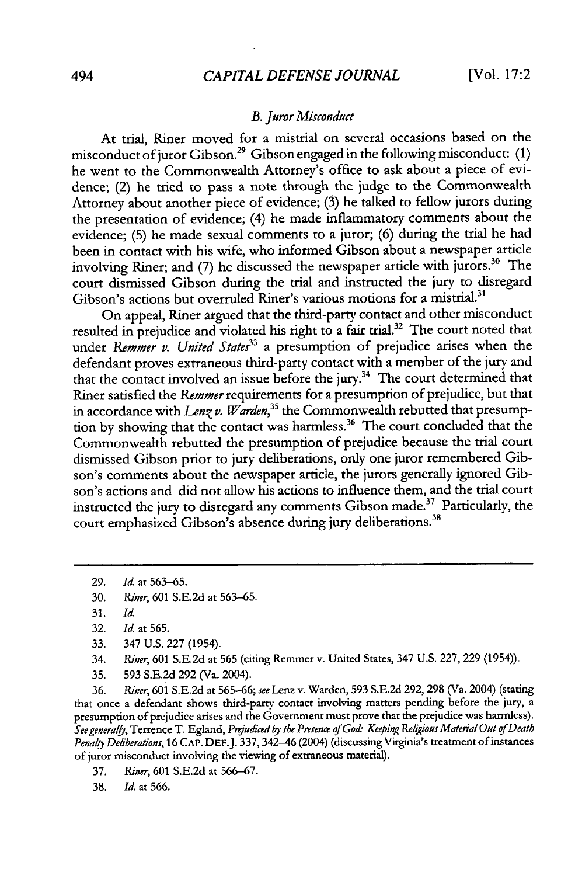#### *B. Juror Misconduct*

At trial, Riner moved for a mistrial on several occasions based on the misconduct of juror Gibson.<sup>29</sup> Gibson engaged in the following misconduct:  $(1)$ he went to the Commonwealth Attorney's office to ask about a piece of evidence; (2) he tried to pass a note through the judge to the Commonwealth Attorney about another piece of evidence; (3) he talked to fellow jurors during the presentation of evidence; (4) he made inflammatory comments about the evidence; (5) he made sexual comments to a juror; **(6)** during the trial he had been in contact with his wife, who informed Gibson about a newspaper article involving Riner; and (7) he discussed the newspaper article with jurors.<sup>30</sup> The court dismissed Gibson during the trial and instructed the jury to disregard Gibson's actions but overruled Riner's various motions for a mistrial.<sup>31</sup>

On appeal, Riner argued that the third-party contact and other misconduct resulted in prejudice and violated his right to a fair trial.32 The court noted that under *Remmer v. United States*<sup>33</sup> a presumption of prejudice arises when the defendant proves extraneous third-party contact with a member of the jury and that the contact involved an issue before the jury.<sup>34</sup> The court determined that Riner satisfied the Remmer requirements for a presumption of prejudice, but that in accordance with *Lenz v. Warden*,<sup>35</sup> the Commonwealth rebutted that presumption by showing that the contact was harmless.<sup>36</sup> The court concluded that the Commonwealth rebutted the presumption of prejudice because the trial court dismissed Gibson prior to jury deliberations, only one juror remembered Gibson's comments about the newspaper article, the jurors generally ignored Gibson's actions and did not allow his actions to influence them, and the trial court instructed the jury to disregard any comments Gibson made.<sup>37</sup> Particularly, the court emphasized Gibson's absence during jury deliberations.<sup>38</sup>

- 33. 347 U.S. 227 (1954).
- 34. Riner, 601 S.E.2d at 565 (citing Remmer v. United States, 347 U.S. 227, **229** (1954)).
- 35. **593** S.E.2d 292 (Va. 2004).

36. *Riner,* 601 S.E.2d at **565-66;** *see* Lenz v. Warden, **593** S.E.2d **292, 298** (Va. 2004) (stating that once a defendant shows third-party contact involving matters pending before the jury, a presumption of prejudice arises and the Government must prove that the prejudice was harmless). *See general4,* Terrence T. Egland, *Prejudiced by the Presence of God: Keeping Rekigious Material Out of Death* Penalty Deliberations, 16 CAP. DEF. J. 337, 342-46 (2004) (discussing Virginia's treatment of instances of juror misconduct involving the viewing of extraneous material).

- 37. *Riner,* **601** S.E.2d at 566-67.
- 38. *Id.* at 566.

**<sup>29.</sup>** *Id.* at 563-65.

<sup>30.</sup> *Riner,* 601 S.E.2d at 563-65.

<sup>31.</sup> *Id.*

<sup>32.</sup> *Id.* at 565.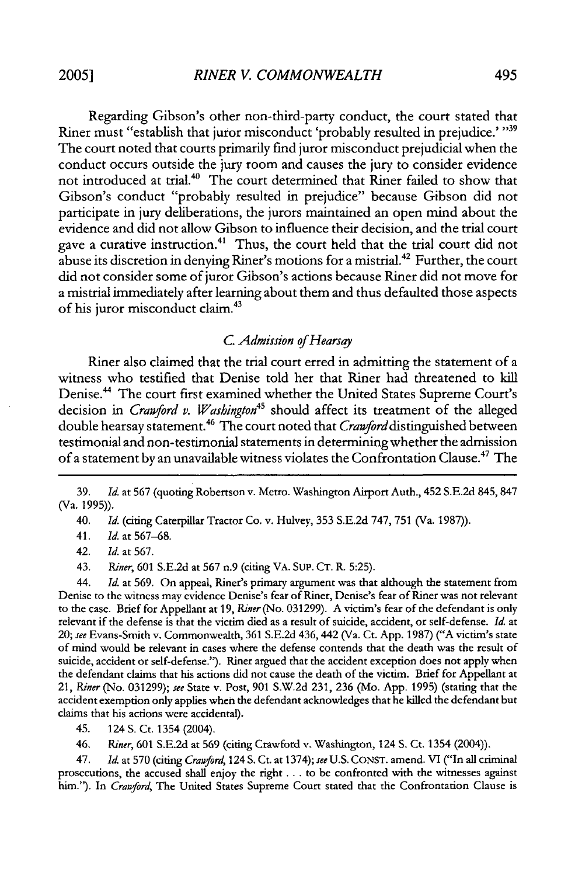Regarding Gibson's other non-third-party conduct, the court stated that Riner must "establish that juror misconduct 'probably resulted in prejudice.' **"39** The court noted that courts primarily find juror misconduct prejudicial when the conduct occurs outside the jury room and causes the jury to consider evidence not introduced at trial.<sup>40</sup> The court determined that Riner failed to show that Gibson's conduct "probably resulted in prejudice" because Gibson did not participate in jury deliberations, the jurors maintained an open mind about the evidence and did not allow Gibson to influence their decision, and the trial court gave a curative instruction.<sup>41</sup> Thus, the court held that the trial court did not abuse its discretion in denying Riner's motions for a mistrial.42 Further, the court did not consider some of juror Gibson's actions because Riner did not move for a mistrial immediately after learning about them and thus defaulted those aspects of his juror misconduct claim.<sup>43</sup>

#### *C. Admission of Hearsay*

Riner also claimed that the trial court erred in admitting the statement of a witness who testified that Denise told her that Riner had threatened to kill Denise.<sup>44</sup> The court first examined whether the United States Supreme Court's decision in *Crawford v. Washington*<sup>45</sup> should affect its treatment of the alleged double hearsay statement.<sup>46</sup> The court noted that *Crawford* distinguished between testimonial and non-testimonial statements in determining whether the admission of a statement by an unavailable witness violates the Confrontation Clause.<sup>47</sup> The

39. *Id.* at 567 (quoting Robertson v. Metro. Washington Airport Auth., 452 S.E.2d 845, 847 (Va. 1995)).

40. *Id.* (citing Caterpillar Tractor Co. v. Hulvey, 353 S.E.2d 747, 751 (Va. 1987)).

41. *Id.* at 567-68.

42. *Id.* at 567.

43. *Riner,* 601 S.E.2d at 567 n.9 (citing VA. SUP. CT. R. 5:25).

44. *Id.* at 569. On appeal, Riner's primary argument was that although the statement from Denise to the witness may evidence Denise's fear of Riner, Denise's fear of Riner was not relevant to the case. Brief for Appellant at 19, *Riner* (No. 031299). A victim's fear of the defendant is only relevant if the defense is that the victim died as a result of suicide, accident, or self-defense. *Id.* at 20; *see* Evans-Smith v. Commonwealth, 361 S.E.2d 436,442 (Va. Ct. App. 1987) ("A victim's state of mind would be relevant in cases where the defense contends that the death was the result of suicide, accident or self-defense."). Riner argued that the accident exception does not apply when the defendant claims that his actions did not cause the death of the victim. Brief for Appellant at 21, *Riner* (No. 031299); *see* State v. Post, 901 S.W.2d 231, 236 (Mo. App. 1995) (stating that the accident exemption only applies when the defendant acknowledges that he killed the defendant but claims that his actions were accidental).

45. 124 **S.** Ct. 1354 (2004).

46. *Riner,* 601 S.E.2d at 569 (citing Crawford v. Washington, 124 **S.** Ct. 1354 (2004)).

47. Id. at 570 (citing *Cranford,* 124 S. Ct. at 1374); *see* U.S. CONST. amend. VI ("In all criminal prosecutions, the accused shall enjoy the right **...** to be confronted with the witnesses against him."). In *Cranford,* The United States Supreme Court stated that the Confrontation Clause is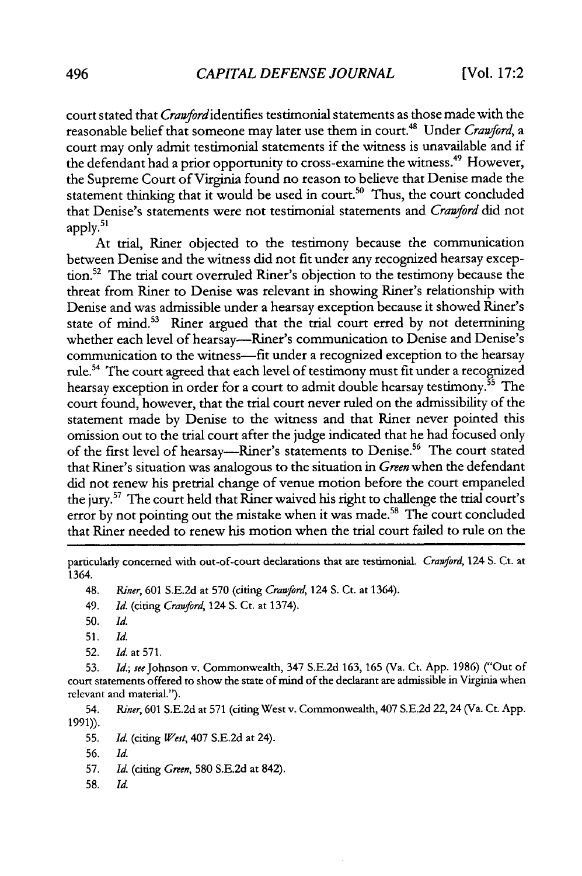court stated that *Cran'fordidentifies* testimonial statements as those made with the reasonable belief that someone may later use them in court.4 " Under *Cranford, a* court may only admit testimonial statements if the witness is unavailable and if the defendant had a prior opportunity to cross-examine the witness.<sup>49</sup> However, the Supreme Court of Virginia found no reason to believe that Denise made the statement thinking that it would be used in court.<sup>50</sup> Thus, the court concluded that Denise's statements were not testimonial statements and *Crawford* did not apply. $51$ 

At trial, Riner objected to the testimony because the communication between Denise and the witness did not fit under any recognized hearsay exception.<sup>52</sup> The trial court overruled Riner's objection to the testimony because the threat from Riner to Denise was relevant in showing Riner's relationship with Denise and was admissible under a hearsay exception because it showed Riner's state of mind.<sup>53</sup> Riner argued that the trial court erred by not determining whether each level of hearsay---Riner's communication to Denise and Denise's communication to the witness-fit under a recognized exception to the hearsay rule.54 The court agreed that each level of testimony must fit under a recognized hearsay exception in order for a court to admit double hearsay testimony.<sup>55</sup> The court found, however, that the trial court never ruled on the admissibility of the statement made by Denise to the witness and that Riner never pointed this omission out to the trial court after the judge indicated that he had focused only of the first level of hearsay—Riner's statements to Denise.<sup>56</sup> The court stated that Riner's situation was analogous to the situation in *Green* when the defendant did not renew his pretrial change of venue motion before the court empaneled the jury.<sup>57</sup> The court held that Riner waived his right to challenge the trial court's error by not pointing out the mistake when it was made.<sup>58</sup> The court concluded that Riner needed to renew his motion when the trial court failed to rule on the

particularly concerned with out-of-court declarations that are testimonial. Crawford, 124 S. Ct. at 1364.

48. *Riner,* 601 S.E.2d at 570 (citing Crawford, 124 S. Ct. at 1364).

- 49. Id. (citing *Crawford,* 124 S. Ct. at 1374).
- 50. Id.
- 51. Id.
- 52. *Id.* at 571.

53. *Id.; see* Johnson v. Commonwealth, 347 S.E.2d 163, 165 (Va. Ct. App. 1986) ("Out of court statements offered to show the state of mind of the declarant are admissible in Virginia when relevant and material.").

54. *Riner,* 601 S.E.2d at 571 (citing West v. Commonwealth, 407 S.E.2d 22,24 (Va. Ct. App. 1991)).

55. *Id.* (citing *West,* 407 S.E.2d at 24).

56. **Id.**

57. *Id.* (citing *Green,* **580** S.E.2d at 842).

58. Id.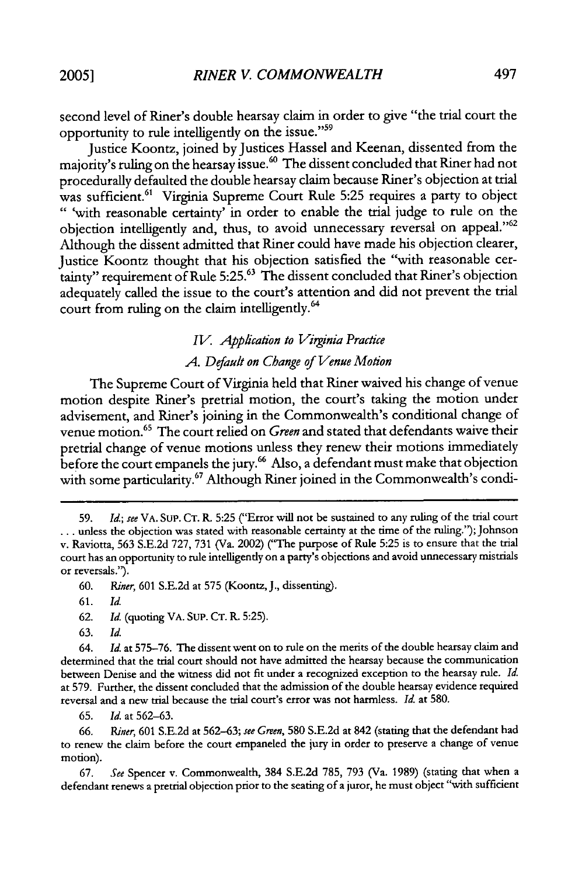second level of Riner's double hearsay claim in order to give "the trial court the opportunity to rule intelligently on the issue."59

Justice Koontz, joined by Justices Hassel and Keenan, dissented from the majority's ruling on the hearsay issue.<sup>60</sup> The dissent concluded that Riner had not procedurally defaulted the double hearsay claim because Riner's objection at trial was sufficient.<sup>61</sup> Virginia Supreme Court Rule 5:25 requires a party to object "'with reasonable certainty' in order to enable the trial judge to rule on the objection intelligently and, thus, to avoid unnecessary reversal on appeal."<sup>62</sup> Although the dissent admitted that Riner could have made his objection clearer, Justice Koontz thought that his objection satisfied the "with reasonable cer $t_{\rm a}$  requirement of Rule 5:25. $^{63}$  The dissent concluded that Riner's objection adequately called the issue to the court's attention and did not prevent the trial court from ruling on the claim intelligently.<sup>64</sup>

# *IV. Application to Virginia Practice A.* Default *on Change of Venue Motion*

The Supreme Court of Virginia held that Riner waived his change of venue motion despite Riner's pretrial motion, the court's taking the motion under advisement, and Riner's joining in the Commonwealth's conditional change of venue motion.65 The court relied on *Green* and stated that defendants waive their pretrial change of venue motions unless they renew their motions immediately before the court empanels the jury.<sup>66</sup> Also, a defendant must make that objection with some particularity.<sup>67</sup> Although Riner joined in the Commonwealth's condi-

63. Id.

64. *Id.* at 575-76. The dissent went on to rule on the merits of the double hearsay claim and determined that the trial court should not have admitted the hearsay because the communication between Denise and the witness did not fit under a recognized exception to the hearsay rule. *Id.* at 579. Further, the dissent concluded that the admission of the double hearsay evidence required reversal and a new trial because the trial court's error was not harmless. *Id* at 580.

65. *Id.* at 562-63.

66. *Riner,* 601 S.E.2d at 562-63; *see Green,* 580 S.E.2d at 842 (stating that the defendant had to renew the claim before the court empaneled the jury in order to preserve a change of venue motion).

67. *See* Spencer v. Commonwealth, 384 S.E.2d 785, 793 (Va. 1989) (stating that when a defendant renews a pretrial objection prior to the seating of a juror, he must object "with sufficient

<sup>59.</sup> *Id.; see* VA. SUP. **CT.** R. 5:25 ("Error will not be sustained to any ruling of the trial court ... unless the objection was stated with reasonable certainty at the time of the ruling."); Johnson v. Raviotta, 563 S.E.2d 727, 731 (Va. 2002) ("The purpose of Rule 5:25 is to ensure that the trial court has an opportunity to rule intelligently on a party's objections and avoid unnecessary mistrials or reversals.').

<sup>60.</sup> *Riner,* 601 S.E.2d at 575 (Koontz, J., dissenting).

<sup>61.</sup> Id.

<sup>62.</sup> *Id.* (quoting VA. SUP. CT. R, 5:25).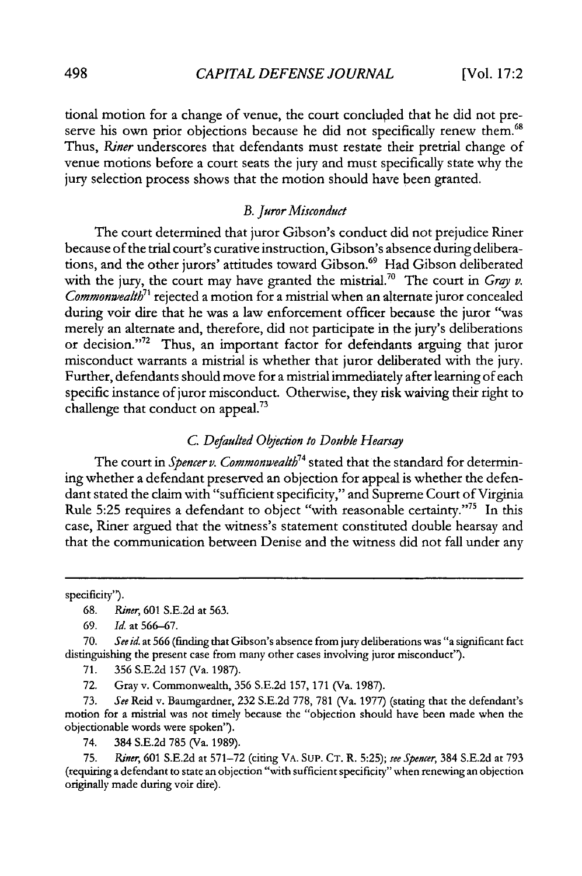tional motion for a change of venue, the court concluded that he did not preserve his own prior objections because he did not specifically renew them.<sup>68</sup> Thus, Riner underscores that defendants must restate their pretrial change of venue motions before a court seats the jury and must specifically state why the jury selection process shows that the motion should have been granted.

#### *B. Juror Misconduct*

The court determined that juror Gibson's conduct did not prejudice Riner because of the trial court's curative instruction, Gibson's absence during deliberations, and the other jurors' attitudes toward Gibson.<sup>69</sup> Had Gibson deliberated with the jury, the court may have granted the mistrial.<sup>70</sup> The court in *Gray v. Commonwealth7'* rejected a motion for a mistrial when an alternate juror concealed during voir dire that he was a law enforcement officer because the juror "was merely an alternate and, therefore, did not participate in the jury's deliberations or decision."72 Thus, an important factor for defendants arguing that juror misconduct warrants a mistrial is whether that juror deliberated with the jury. Further, defendants should move for a mistrial immediately after learning of each specific instance of juror misconduct. Otherwise, they risk waiving their right to challenge that conduct on appeal.73

### *C. Defaulted Objection* to Double Hearsay

The court in Spencer v. Commonwealth<sup>74</sup> stated that the standard for determining whether a defendant preserved an objection for appeal is whether the defendant stated the claim with "sufficient specificity," and Supreme Court of Virginia Rule 5:25 requires a defendant to object "with reasonable certainty."<sup>75</sup> In this case, Riner argued that the witness's statement constituted double hearsay and that the communication between Denise and the witness did not fall under any

specificity").

**69.** *Id.* at 566-67.

70. *Seeid.* at **566** (finding that Gibson's absence from jury deliberations was "a significant fact distinguishing the present case from many other cases involving juror misconduct").

71. **356** S.E.2d 157 (Va. 1987).

72. Gray v. Commonwealth, 356 S.E.2d 157, 171 (Va. 1987).

73. *See* Reid v. Baumgardner, 232 S.E.2d 778, 781 (Va. 1977) (stating that the defendant's motion for a mistrial was not timely because the "objection should have been made when the objectionable words were spoken").

74. 384 S.E.2d 785 (Va. 1989).

75. *Riner,* **601** S.E.2d at 571-72 (citing VA. SUP. CT. R. 5:25); *see Spencer,* 384 S.E.2d at 793 (requiring a defendant to state an objection "with sufficient specificity" when renewing an objection originally made during voir dire).

**<sup>68.</sup>** *Riner,* 601 S.E.2d at 563.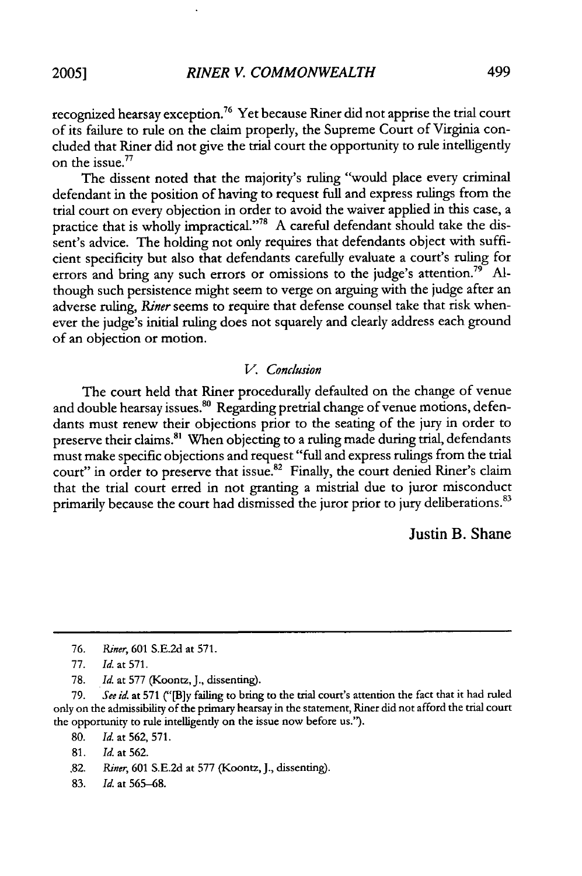recognized hearsay exception.<sup>76</sup> Yet because Riner did not apprise the trial court of its failure to rule on the claim properly, the Supreme Court of Virginia concluded that Riner did not give the trial court the opportunity to rule intelligently on the issue.<sup>77</sup>

The dissent noted that the majority's ruling "would place every criminal defendant in the position of having to request full and express rulings from the trial court on every objection in order to avoid the waiver applied in this case, a practice that is wholly impractical."<sup>78</sup> A careful defendant should take the dissent's advice. The holding not only requires that defendants object with sufficient specificity but also that defendants carefully evaluate a court's ruling for errors and bring any such errors or omissions to the judge's attention.<sup>79</sup> Although such persistence might seem to verge on arguing with the judge after an adverse ruling, Riner seems to require that defense counsel take that risk whenever the judge's initial ruling does not squarely and clearly address each ground of an objection or motion.

#### *V.* Conclusion

The court held that Riner procedurally defaulted on the change of venue and double hearsay issues.<sup>80</sup> Regarding pretrial change of venue motions, defendants must renew their objections prior to the seating of the jury in order to preserve their claims.<sup>81</sup> When objecting to a ruling made during trial, defendants must make specific objections and request "full and express rulings from the trial court" in order to preserve that issue.<sup>82</sup> Finally, the court denied Riner's claim that the trial court erred in not granting a mistrial due to juror misconduct primarily because the court had dismissed the juror prior to jury deliberations.<sup>83</sup>

## Justin B. Shane

**80.** Id. at 562, 571.

81. Id. at 562.

83. Id. at 565-68.

**<sup>76.</sup>** *Riner,* 601 S.E.2d at 571.

<sup>77.</sup> *Id.* at 571.

<sup>78.</sup> Id. at **577** (Koontz, J., dissenting).

**<sup>79.</sup>** *See id.* at 571 ("[B]y failing to bring to the trial court's attention the fact that it had ruled only on the admissibility of the primary hearsay in the statement, Riner did not afford the trial court the opportunity to rule intelligently on the issue now before us.").

<sup>.82.</sup> *Riner,* **601** S.E.2d at 577 (Koontz, **J.,** dissenting).